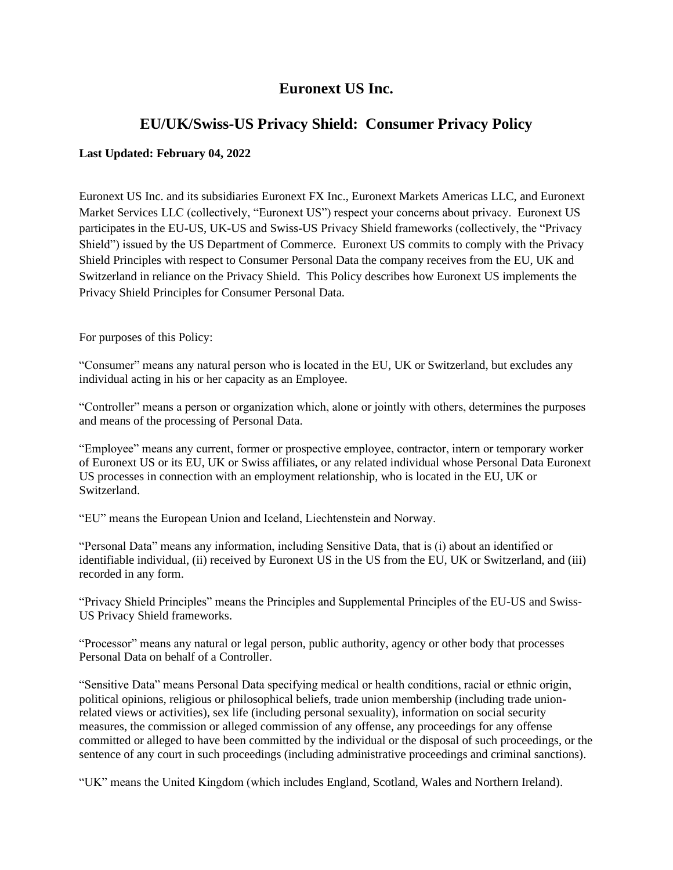# **Euronext US Inc.**

## **EU/UK/Swiss-US Privacy Shield: Consumer Privacy Policy**

## **Last Updated: February 04, 2022**

Euronext US Inc. and its subsidiaries Euronext FX Inc., Euronext Markets Americas LLC, and Euronext Market Services LLC (collectively, "Euronext US") respect your concerns about privacy. Euronext US participates in the EU-US, UK-US and Swiss-US Privacy Shield frameworks (collectively, the "Privacy Shield") issued by the US Department of Commerce. Euronext US commits to comply with the Privacy Shield Principles with respect to Consumer Personal Data the company receives from the EU, UK and Switzerland in reliance on the Privacy Shield. This Policy describes how Euronext US implements the Privacy Shield Principles for Consumer Personal Data.

For purposes of this Policy:

"Consumer" means any natural person who is located in the EU, UK or Switzerland, but excludes any individual acting in his or her capacity as an Employee.

"Controller" means a person or organization which, alone or jointly with others, determines the purposes and means of the processing of Personal Data.

"Employee" means any current, former or prospective employee, contractor, intern or temporary worker of Euronext US or its EU, UK or Swiss affiliates, or any related individual whose Personal Data Euronext US processes in connection with an employment relationship, who is located in the EU, UK or Switzerland.

"EU" means the European Union and Iceland, Liechtenstein and Norway.

"Personal Data" means any information, including Sensitive Data, that is (i) about an identified or identifiable individual, (ii) received by Euronext US in the US from the EU, UK or Switzerland, and (iii) recorded in any form.

"Privacy Shield Principles" means the Principles and Supplemental Principles of the EU-US and Swiss-US Privacy Shield frameworks.

"Processor" means any natural or legal person, public authority, agency or other body that processes Personal Data on behalf of a Controller.

"Sensitive Data" means Personal Data specifying medical or health conditions, racial or ethnic origin, political opinions, religious or philosophical beliefs, trade union membership (including trade unionrelated views or activities), sex life (including personal sexuality), information on social security measures, the commission or alleged commission of any offense, any proceedings for any offense committed or alleged to have been committed by the individual or the disposal of such proceedings, or the sentence of any court in such proceedings (including administrative proceedings and criminal sanctions).

"UK" means the United Kingdom (which includes England, Scotland, Wales and Northern Ireland).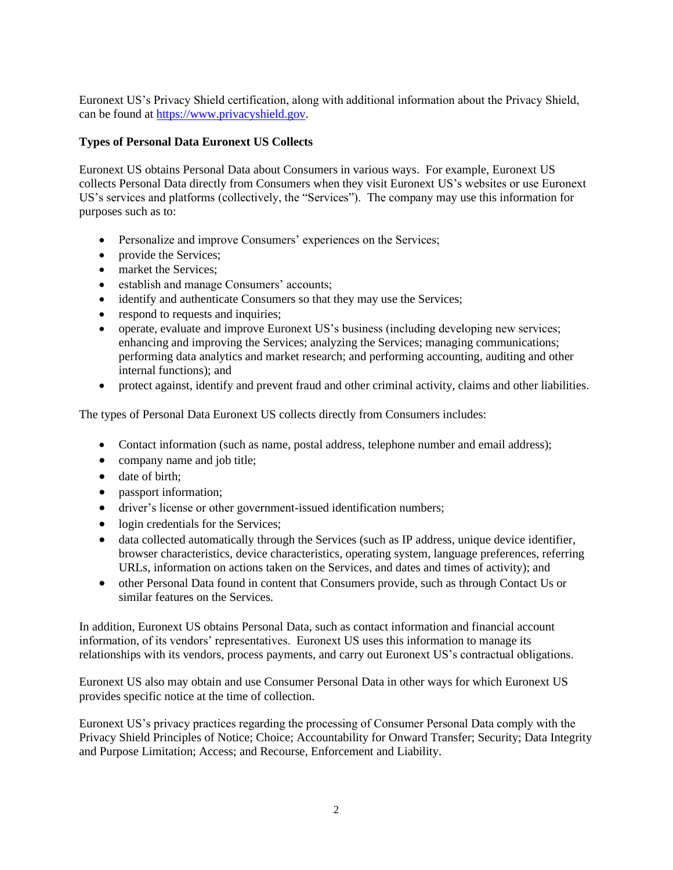Euronext US's Privacy Shield certification, along with additional information about the Privacy Shield, can be found at [https://www.privacyshield.gov.](https://www.privacyshield.gov/)

## **Types of Personal Data Euronext US Collects**

Euronext US obtains Personal Data about Consumers in various ways. For example, Euronext US collects Personal Data directly from Consumers when they visit Euronext US's websites or use Euronext US's services and platforms (collectively, the "Services"). The company may use this information for purposes such as to:

- Personalize and improve Consumers' experiences on the Services;
- provide the Services;
- market the Services:
- establish and manage Consumers' accounts;
- identify and authenticate Consumers so that they may use the Services;
- respond to requests and inquiries;
- operate, evaluate and improve Euronext US's business (including developing new services; enhancing and improving the Services; analyzing the Services; managing communications; performing data analytics and market research; and performing accounting, auditing and other internal functions); and
- protect against, identify and prevent fraud and other criminal activity, claims and other liabilities.

The types of Personal Data Euronext US collects directly from Consumers includes:

- Contact information (such as name, postal address, telephone number and email address);
- company name and job title;
- date of birth;
- passport information;
- driver's license or other government-issued identification numbers;
- login credentials for the Services;
- data collected automatically through the Services (such as IP address, unique device identifier, browser characteristics, device characteristics, operating system, language preferences, referring URLs, information on actions taken on the Services, and dates and times of activity); and
- other Personal Data found in content that Consumers provide, such as through Contact Us or similar features on the Services.

In addition, Euronext US obtains Personal Data, such as contact information and financial account information, of its vendors' representatives. Euronext US uses this information to manage its relationships with its vendors, process payments, and carry out Euronext US's contractual obligations.

Euronext US also may obtain and use Consumer Personal Data in other ways for which Euronext US provides specific notice at the time of collection.

Euronext US's privacy practices regarding the processing of Consumer Personal Data comply with the Privacy Shield Principles of Notice; Choice; Accountability for Onward Transfer; Security; Data Integrity and Purpose Limitation; Access; and Recourse, Enforcement and Liability.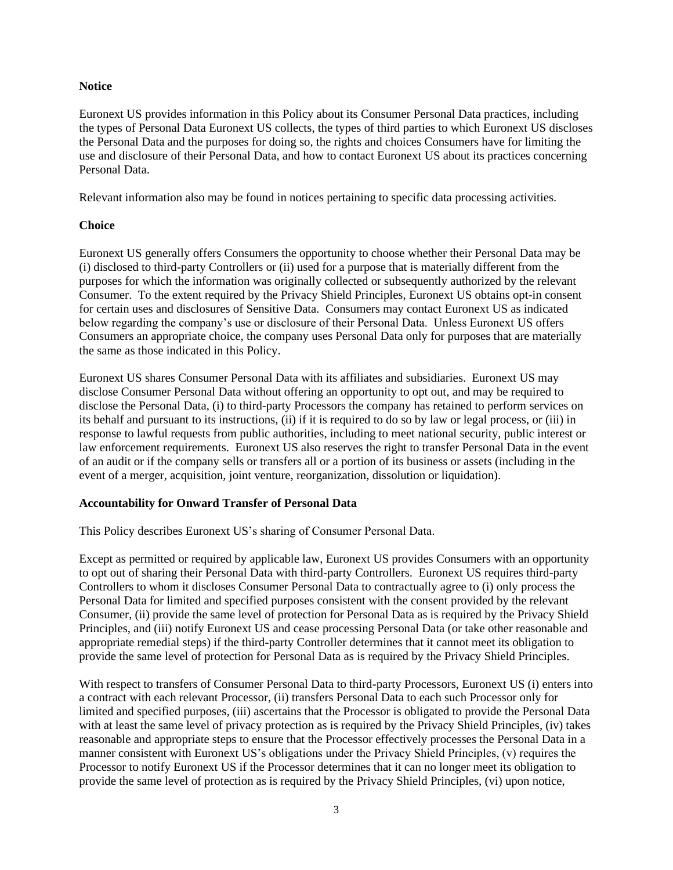#### **Notice**

Euronext US provides information in this Policy about its Consumer Personal Data practices, including the types of Personal Data Euronext US collects, the types of third parties to which Euronext US discloses the Personal Data and the purposes for doing so, the rights and choices Consumers have for limiting the use and disclosure of their Personal Data, and how to contact Euronext US about its practices concerning Personal Data.

Relevant information also may be found in notices pertaining to specific data processing activities.

#### **Choice**

Euronext US generally offers Consumers the opportunity to choose whether their Personal Data may be (i) disclosed to third-party Controllers or (ii) used for a purpose that is materially different from the purposes for which the information was originally collected or subsequently authorized by the relevant Consumer. To the extent required by the Privacy Shield Principles, Euronext US obtains opt-in consent for certain uses and disclosures of Sensitive Data. Consumers may contact Euronext US as indicated below regarding the company's use or disclosure of their Personal Data. Unless Euronext US offers Consumers an appropriate choice, the company uses Personal Data only for purposes that are materially the same as those indicated in this Policy.

Euronext US shares Consumer Personal Data with its affiliates and subsidiaries. Euronext US may disclose Consumer Personal Data without offering an opportunity to opt out, and may be required to disclose the Personal Data, (i) to third-party Processors the company has retained to perform services on its behalf and pursuant to its instructions, (ii) if it is required to do so by law or legal process, or (iii) in response to lawful requests from public authorities, including to meet national security, public interest or law enforcement requirements. Euronext US also reserves the right to transfer Personal Data in the event of an audit or if the company sells or transfers all or a portion of its business or assets (including in the event of a merger, acquisition, joint venture, reorganization, dissolution or liquidation).

#### **Accountability for Onward Transfer of Personal Data**

This Policy describes Euronext US's sharing of Consumer Personal Data.

Except as permitted or required by applicable law, Euronext US provides Consumers with an opportunity to opt out of sharing their Personal Data with third-party Controllers. Euronext US requires third-party Controllers to whom it discloses Consumer Personal Data to contractually agree to (i) only process the Personal Data for limited and specified purposes consistent with the consent provided by the relevant Consumer, (ii) provide the same level of protection for Personal Data as is required by the Privacy Shield Principles, and (iii) notify Euronext US and cease processing Personal Data (or take other reasonable and appropriate remedial steps) if the third-party Controller determines that it cannot meet its obligation to provide the same level of protection for Personal Data as is required by the Privacy Shield Principles.

With respect to transfers of Consumer Personal Data to third-party Processors, Euronext US (i) enters into a contract with each relevant Processor, (ii) transfers Personal Data to each such Processor only for limited and specified purposes, (iii) ascertains that the Processor is obligated to provide the Personal Data with at least the same level of privacy protection as is required by the Privacy Shield Principles, (iv) takes reasonable and appropriate steps to ensure that the Processor effectively processes the Personal Data in a manner consistent with Euronext US's obligations under the Privacy Shield Principles, (v) requires the Processor to notify Euronext US if the Processor determines that it can no longer meet its obligation to provide the same level of protection as is required by the Privacy Shield Principles, (vi) upon notice,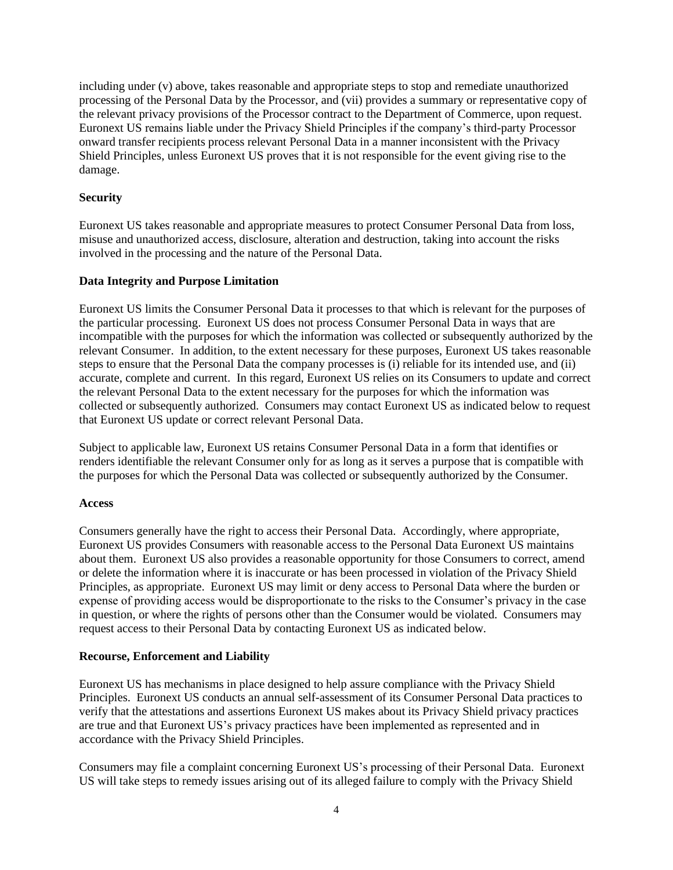including under (v) above, takes reasonable and appropriate steps to stop and remediate unauthorized processing of the Personal Data by the Processor, and (vii) provides a summary or representative copy of the relevant privacy provisions of the Processor contract to the Department of Commerce, upon request. Euronext US remains liable under the Privacy Shield Principles if the company's third-party Processor onward transfer recipients process relevant Personal Data in a manner inconsistent with the Privacy Shield Principles, unless Euronext US proves that it is not responsible for the event giving rise to the damage.

### **Security**

Euronext US takes reasonable and appropriate measures to protect Consumer Personal Data from loss, misuse and unauthorized access, disclosure, alteration and destruction, taking into account the risks involved in the processing and the nature of the Personal Data.

## **Data Integrity and Purpose Limitation**

Euronext US limits the Consumer Personal Data it processes to that which is relevant for the purposes of the particular processing. Euronext US does not process Consumer Personal Data in ways that are incompatible with the purposes for which the information was collected or subsequently authorized by the relevant Consumer. In addition, to the extent necessary for these purposes, Euronext US takes reasonable steps to ensure that the Personal Data the company processes is (i) reliable for its intended use, and (ii) accurate, complete and current. In this regard, Euronext US relies on its Consumers to update and correct the relevant Personal Data to the extent necessary for the purposes for which the information was collected or subsequently authorized. Consumers may contact Euronext US as indicated below to request that Euronext US update or correct relevant Personal Data.

Subject to applicable law, Euronext US retains Consumer Personal Data in a form that identifies or renders identifiable the relevant Consumer only for as long as it serves a purpose that is compatible with the purposes for which the Personal Data was collected or subsequently authorized by the Consumer.

#### **Access**

Consumers generally have the right to access their Personal Data. Accordingly, where appropriate, Euronext US provides Consumers with reasonable access to the Personal Data Euronext US maintains about them. Euronext US also provides a reasonable opportunity for those Consumers to correct, amend or delete the information where it is inaccurate or has been processed in violation of the Privacy Shield Principles, as appropriate. Euronext US may limit or deny access to Personal Data where the burden or expense of providing access would be disproportionate to the risks to the Consumer's privacy in the case in question, or where the rights of persons other than the Consumer would be violated. Consumers may request access to their Personal Data by contacting Euronext US as indicated below.

#### **Recourse, Enforcement and Liability**

Euronext US has mechanisms in place designed to help assure compliance with the Privacy Shield Principles. Euronext US conducts an annual self-assessment of its Consumer Personal Data practices to verify that the attestations and assertions Euronext US makes about its Privacy Shield privacy practices are true and that Euronext US's privacy practices have been implemented as represented and in accordance with the Privacy Shield Principles.

Consumers may file a complaint concerning Euronext US's processing of their Personal Data. Euronext US will take steps to remedy issues arising out of its alleged failure to comply with the Privacy Shield